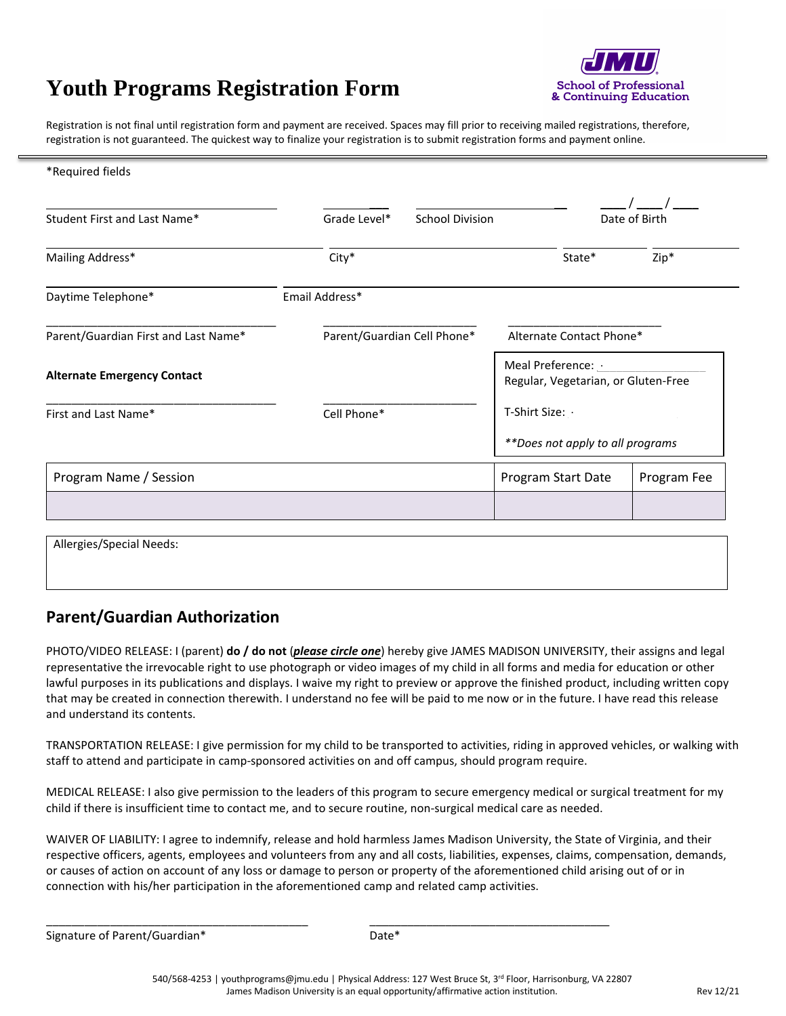# **Youth Programs Registration Form**



Registration is not final until registration form and payment are received. Spaces may fill prior to receiving mailed registrations, therefore, registration is not guaranteed. The quickest way to finalize your registration is to submit registration forms and payment online.

| *Required fields                     |                             |                        |                                                           |               |  |
|--------------------------------------|-----------------------------|------------------------|-----------------------------------------------------------|---------------|--|
| Student First and Last Name*         | Grade Level*                | <b>School Division</b> |                                                           | Date of Birth |  |
| Mailing Address*                     | City*                       |                        | State*                                                    | Zip*          |  |
| Daytime Telephone*                   | Email Address*              |                        |                                                           |               |  |
| Parent/Guardian First and Last Name* | Parent/Guardian Cell Phone* |                        | Alternate Contact Phone*                                  |               |  |
| <b>Alternate Emergency Contact</b>   |                             |                        | Meal Preference: .<br>Regular, Vegetarian, or Gluten-Free |               |  |
| First and Last Name*                 | Cell Phone*                 |                        | T-Shirt Size: .                                           |               |  |
|                                      |                             |                        | **Does not apply to all programs                          |               |  |
| Program Name / Session               |                             |                        | Program Start Date                                        | Program Fee   |  |
|                                      |                             |                        |                                                           |               |  |
| Allergies/Special Needs:             |                             |                        |                                                           |               |  |

**Parent/Guardian Authorization**

PHOTO/VIDEO RELEASE: I (parent) **do / do not** (*please circle one*) hereby give JAMES MADISON UNIVERSITY, their assigns and legal representative the irrevocable right to use photograph or video images of my child in all forms and media for education or other lawful purposes in its publications and displays. I waive my right to preview or approve the finished product, including written copy that may be created in connection therewith. I understand no fee will be paid to me now or in the future. I have read this release and understand its contents.

TRANSPORTATION RELEASE: I give permission for my child to be transported to activities, riding in approved vehicles, or walking with staff to attend and participate in camp-sponsored activities on and off campus, should program require.

MEDICAL RELEASE: I also give permission to the leaders of this program to secure emergency medical or surgical treatment for my child if there is insufficient time to contact me, and to secure routine, non-surgical medical care as needed.

WAIVER OF LIABILITY: I agree to indemnify, release and hold harmless James Madison University, the State of Virginia, and their respective officers, agents, employees and volunteers from any and all costs, liabilities, expenses, claims, compensation, demands, or causes of action on account of any loss or damage to person or property of the aforementioned child arising out of or in connection with his/her participation in the aforementioned camp and related camp activities.

Signature of Parent/Guardian\*

\_\_\_\_\_\_\_\_\_\_\_\_\_\_\_\_\_\_\_\_\_\_\_\_\_\_\_\_\_\_\_\_\_\_\_\_\_\_\_\_\_

Date\*

\_\_\_\_\_\_\_\_\_\_\_\_\_\_\_\_\_\_\_\_\_\_\_\_\_\_\_\_\_\_\_\_\_\_\_\_\_\_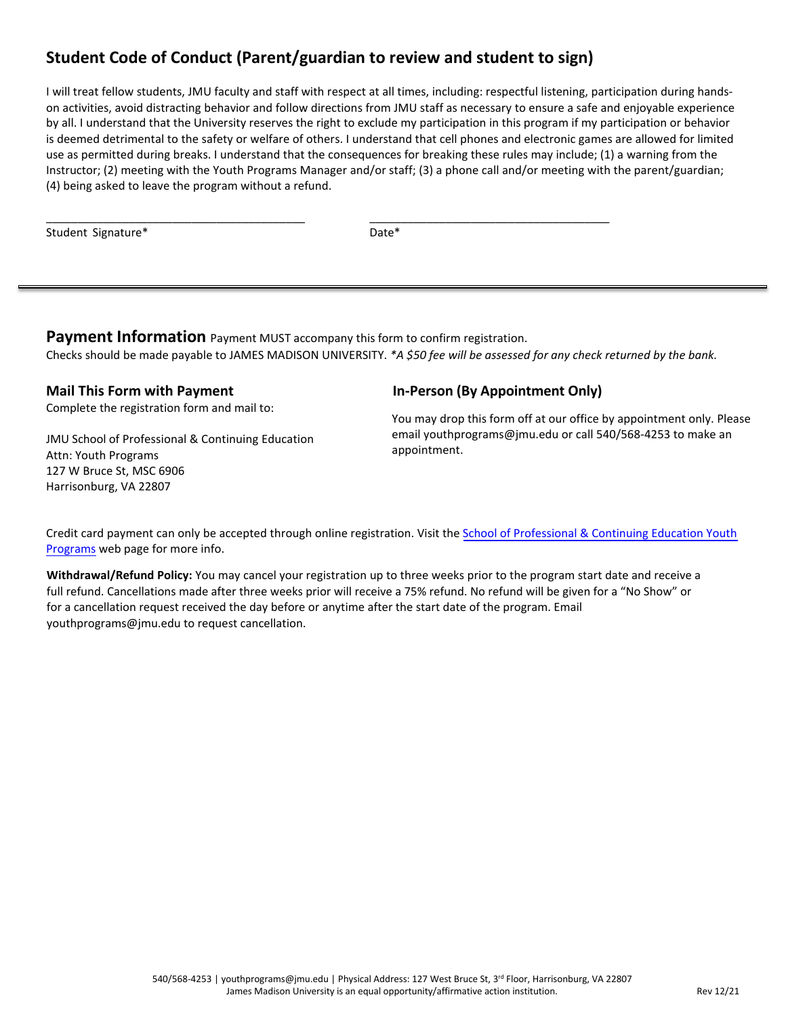# **Student Code of Conduct (Parent/guardian to review and student to sign)**

I will treat fellow students, JMU faculty and staff with respect at all times, including: respectful listening, participation during handson activities, avoid distracting behavior and follow directions from JMU staff as necessary to ensure a safe and enjoyable experience by all. I understand that the University reserves the right to exclude my participation in this program if my participation or behavior is deemed detrimental to the safety or welfare of others. I understand that cell phones and electronic games are allowed for limited use as permitted during breaks. I understand that the consequences for breaking these rules may include; (1) a warning from the Instructor; (2) meeting with the Youth Programs Manager and/or staff; (3) a phone call and/or meeting with the parent/guardian; (4) being asked to leave the program without a refund.

Student Signature\*

Date\*

**Payment Information** Payment MUST accompany this form to confirm registration. Checks should be made payable to JAMES MADISON UNIVERSITY. *\*A \$50 fee will be assessed for any check returned by the bank.*

## **Mail This Form with Payment**

Complete the registration form and mail to:

JMU School of Professional & Continuing Education Attn: Youth Programs 127 W Bruce St, MSC 6906 Harrisonburg, VA 22807

\_\_\_\_\_\_\_\_\_\_\_\_\_\_\_\_\_\_\_\_\_\_\_\_\_\_\_\_\_\_\_\_\_\_\_\_\_\_\_\_\_

#### **In-Person (By Appointment Only)**

\_\_\_\_\_\_\_\_\_\_\_\_\_\_\_\_\_\_\_\_\_\_\_\_\_\_\_\_\_\_\_\_\_\_\_\_\_\_

You may drop this form off at our office by appointment only. Please email youthprograms@jmu.edu or call 540/568-4253 to make an appointment.

[Credit card payment can only be accepted through online registration. Visit the](http://www.jmu.edu/outreach/programs/all/youth-programs) School of Professional & Continuing Education Youth Programs web page for more info.

**Withdrawal/Refund Policy:** You may cancel your registration up to three weeks prior to the program start date and receive a full refund. Cancellations made after three weeks prior will receive a 75% refund. No refund will be given for a "No Show" or for a cancellation request received the day before or anytime after the start date of the program. Email youthprograms@jmu.edu to request cancellation.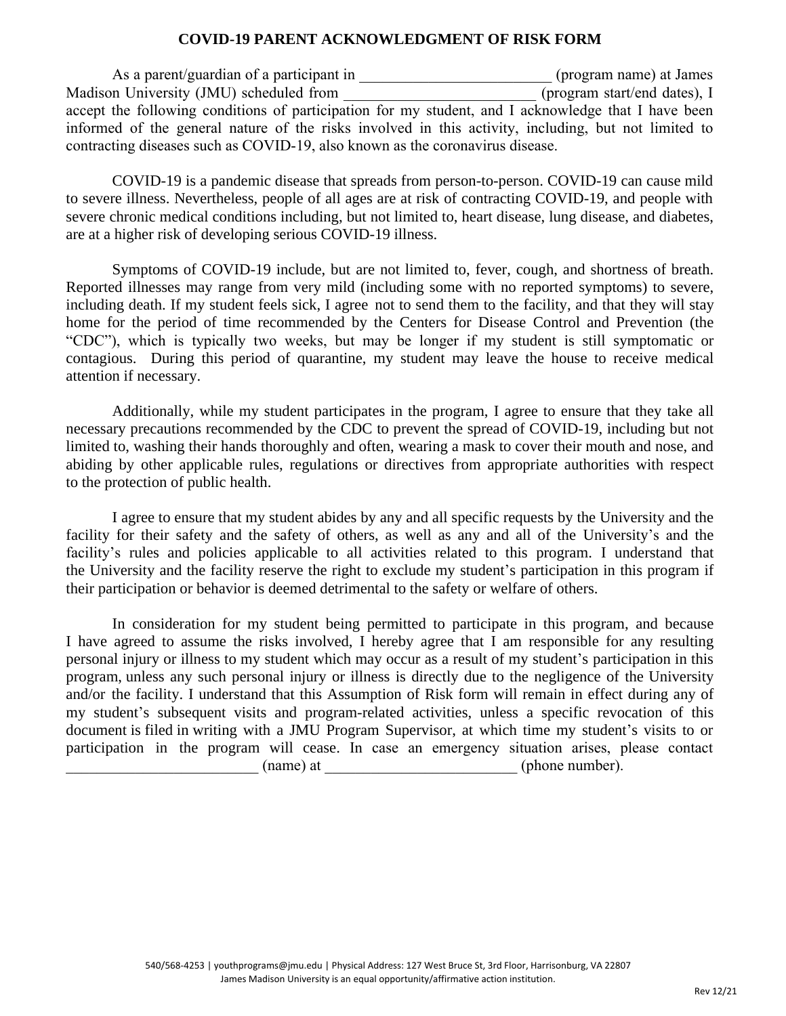#### **COVID-19 PARENT ACKNOWLEDGMENT OF RISK FORM**

As a parent/guardian of a participant in \_\_\_\_\_\_\_\_\_\_\_\_\_\_\_\_\_\_\_\_\_\_\_\_\_\_(program name) at James Madison University (JMU) scheduled from \_\_\_\_\_\_\_\_\_\_\_\_\_\_\_\_\_\_\_\_\_\_\_\_\_(program start/end dates), I accept the following conditions of participation for my student, and I acknowledge that I have been informed of the general nature of the risks involved in this activity, including, but not limited to contracting diseases such as COVID-19, also known as the coronavirus disease.

COVID-19 is a pandemic disease that spreads from person-to-person. COVID-19 can cause mild to severe illness. Nevertheless, people of all ages are at risk of contracting COVID-19, and people with severe chronic medical conditions including, but not limited to, heart disease, lung disease, and diabetes, are at a higher risk of developing serious COVID-19 illness.

Symptoms of COVID-19 include, but are not limited to, fever, cough, and shortness of breath. Reported illnesses may range from very mild (including some with no reported symptoms) to severe, including death. If my student feels sick, I agree not to send them to the facility, and that they will stay home for the period of time recommended by the Centers for Disease Control and Prevention (the "CDC"), which is typically two weeks, but may be longer if my student is still symptomatic or contagious. During this period of quarantine, my student may leave the house to receive medical attention if necessary.

Additionally, while my student participates in the program, I agree to ensure that they take all necessary precautions recommended by the CDC to prevent the spread of COVID-19, including but not limited to, washing their hands thoroughly and often, wearing a mask to cover their mouth and nose, and abiding by other applicable rules, regulations or directives from appropriate authorities with respect to the protection of public health.

I agree to ensure that my student abides by any and all specific requests by the University and the facility for their safety and the safety of others, as well as any and all of the University's and the facility's rules and policies applicable to all activities related to this program. I understand that the University and the facility reserve the right to exclude my student's participation in this program if their participation or behavior is deemed detrimental to the safety or welfare of others.

In consideration for my student being permitted to participate in this program, and because I have agreed to assume the risks involved, I hereby agree that I am responsible for any resulting personal injury or illness to my student which may occur as a result of my student's participation in this program, unless any such personal injury or illness is directly due to the negligence of the University and/or the facility. I understand that this Assumption of Risk form will remain in effect during any of my student's subsequent visits and program-related activities, unless a specific revocation of this document is filed in writing with a JMU Program Supervisor, at which time my student's visits to or participation in the program will cease. In case an emergency situation arises, please contact (name) at  $(\text{phone number}).$